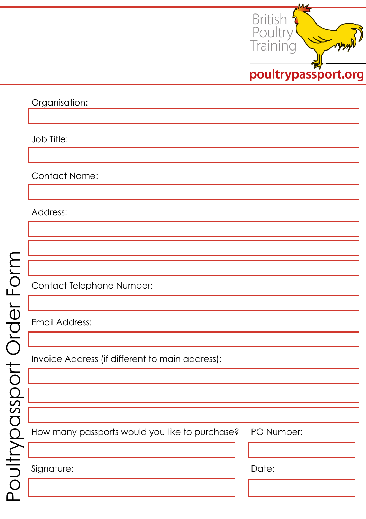

Organisation:

Job Title:

Contact Name:

Address:

Contact Telephone Number:

Email Address:

Invoice Address (if different to main address):

How many passports would you like to purchase? PO Number:

Signature: Date: